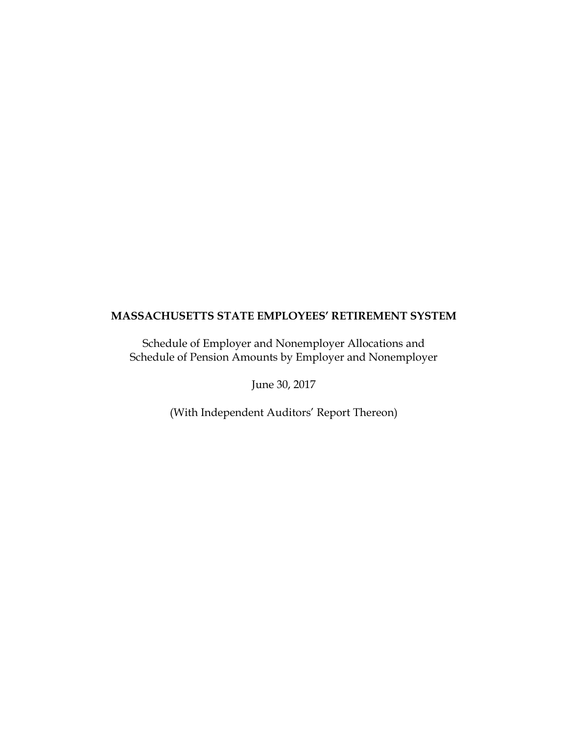Schedule of Employer and Nonemployer Allocations and Schedule of Pension Amounts by Employer and Nonemployer

June 30, 2017

(With Independent Auditors' Report Thereon)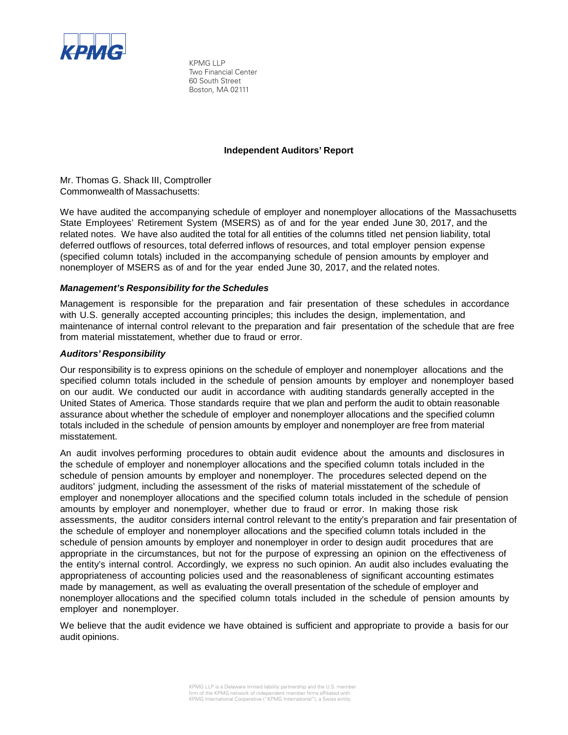

KPMG LLP Two Financial Center 60 South Street Boston, MA 02111

## **Independent Auditors' Report**

Mr. Thomas G. Shack III, Comptroller Commonwealth of Massachusetts:

We have audited the accompanying schedule of employer and nonemployer allocations of the Massachusetts State Employees' Retirement System (MSERS) as of and for the year ended June 30, 2017, and the related notes. We have also audited the total for all entities of the columns titled net pension liability, total deferred outflows of resources, total deferred inflows of resources, and total employer pension expense (specified column totals) included in the accompanying schedule of pension amounts by employer and nonemployer of MSERS as of and for the year ended June 30, 2017, and the related notes.

## *Management's Responsibility for the Schedules*

Management is responsible for the preparation and fair presentation of these schedules in accordance with U.S. generally accepted accounting principles; this includes the design, implementation, and maintenance of internal control relevant to the preparation and fair presentation of the schedule that are free from material misstatement, whether due to fraud or error.

## *Auditors' Responsibility*

Our responsibility is to express opinions on the schedule of employer and nonemployer allocations and the specified column totals included in the schedule of pension amounts by employer and nonemployer based on our audit. We conducted our audit in accordance with auditing standards generally accepted in the United States of America. Those standards require that we plan and perform the audit to obtain reasonable assurance about whether the schedule of employer and nonemployer allocations and the specified column totals included in the schedule of pension amounts by employer and nonemployer are free from material misstatement.

An audit involves performing procedures to obtain audit evidence about the amounts and disclosures in the schedule of employer and nonemployer allocations and the specified column totals included in the schedule of pension amounts by employer and nonemployer. The procedures selected depend on the auditors' judgment, including the assessment of the risks of material misstatement of the schedule of employer and nonemployer allocations and the specified column totals included in the schedule of pension amounts by employer and nonemployer, whether due to fraud or error. In making those risk assessments, the auditor considers internal control relevant to the entity's preparation and fair presentation of the schedule of employer and nonemployer allocations and the specified column totals included in the schedule of pension amounts by employer and nonemployer in order to design audit procedures that are appropriate in the circumstances, but not for the purpose of expressing an opinion on the effectiveness of the entity's internal control. Accordingly, we express no such opinion. An audit also includes evaluating the appropriateness of accounting policies used and the reasonableness of significant accounting estimates made by management, as well as evaluating the overall presentation of the schedule of employer and nonemployer allocations and the specified column totals included in the schedule of pension amounts by employer and nonemployer.

We believe that the audit evidence we have obtained is sufficient and appropriate to provide a basis for our audit opinions.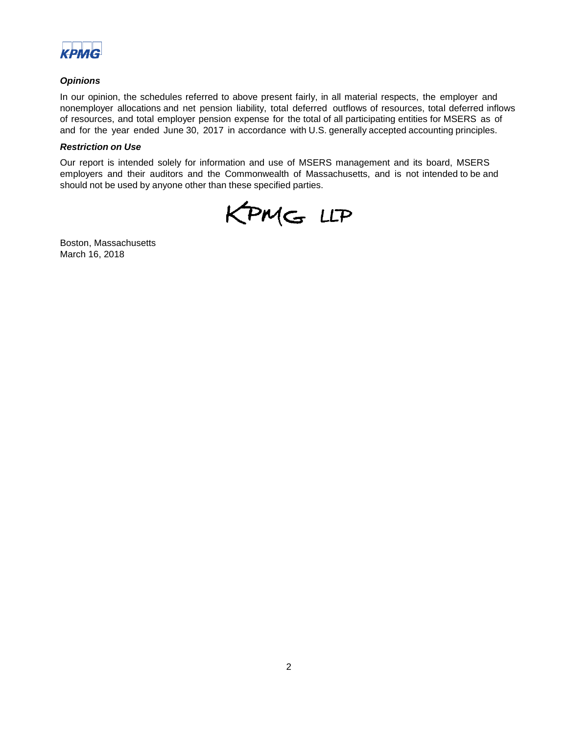

## *Opinions*

In our opinion, the schedules referred to above present fairly, in all material respects, the employer and nonemployer allocations and net pension liability, total deferred outflows of resources, total deferred inflows of resources, and total employer pension expense for the total of all participating entities for MSERS as of and for the year ended June 30, 2017 in accordance with U.S. generally accepted accounting principles.

### *Restriction on Use*

Our report is intended solely for information and use of MSERS management and its board, MSERS employers and their auditors and the Commonwealth of Massachusetts, and is not intended to be and should not be used by anyone other than these specified parties.

KPMG LLP

Boston, Massachusetts March 16, 2018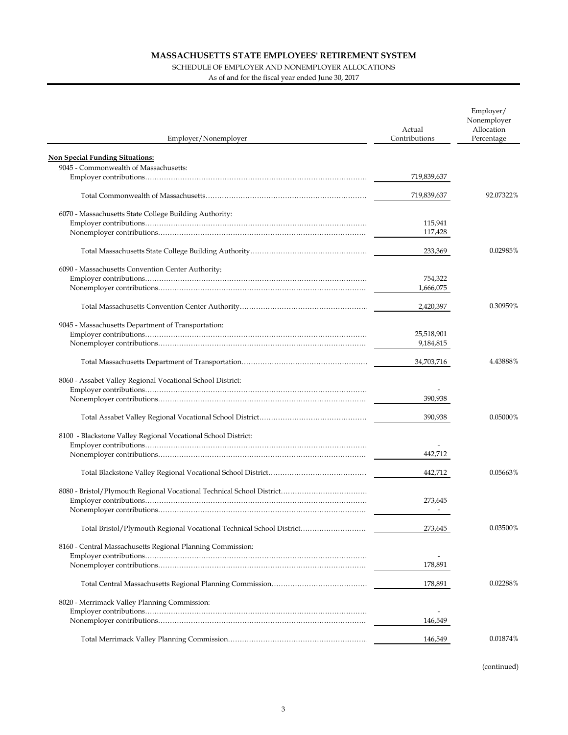### SCHEDULE OF EMPLOYER AND NONEMPLOYER ALLOCATIONS

As of and for the fiscal year ended June 30, 2017

| Employer/Nonemployer                                                 | Actual<br>Contributions | Employer/<br>Nonemployer<br>Allocation<br>Percentage |
|----------------------------------------------------------------------|-------------------------|------------------------------------------------------|
| <b>Non Special Funding Situations:</b>                               |                         |                                                      |
| 9045 - Commonwealth of Massachusetts:                                |                         |                                                      |
|                                                                      | 719,839,637             |                                                      |
|                                                                      |                         |                                                      |
|                                                                      | 719,839,637             | 92.07322%                                            |
| 6070 - Massachusetts State College Building Authority:               |                         |                                                      |
|                                                                      | 115,941                 |                                                      |
|                                                                      | 117,428                 |                                                      |
|                                                                      |                         |                                                      |
|                                                                      | 233,369                 | 0.02985%                                             |
| 6090 - Massachusetts Convention Center Authority:                    |                         |                                                      |
|                                                                      | 754,322                 |                                                      |
|                                                                      | 1,666,075               |                                                      |
|                                                                      |                         |                                                      |
|                                                                      | 2,420,397               | 0.30959%                                             |
| 9045 - Massachusetts Department of Transportation:                   |                         |                                                      |
|                                                                      | 25,518,901              |                                                      |
|                                                                      | 9,184,815               |                                                      |
|                                                                      | 34,703,716              | 4.43888%                                             |
| 8060 - Assabet Valley Regional Vocational School District:           |                         |                                                      |
|                                                                      | 390,938                 |                                                      |
|                                                                      |                         |                                                      |
|                                                                      | 390,938                 | 0.05000%                                             |
| 8100 - Blackstone Valley Regional Vocational School District:        |                         |                                                      |
|                                                                      |                         |                                                      |
|                                                                      | 442,712                 |                                                      |
|                                                                      |                         |                                                      |
|                                                                      | 442,712                 | 0.05663%                                             |
|                                                                      |                         |                                                      |
|                                                                      | 273.645                 |                                                      |
|                                                                      |                         |                                                      |
| Total Bristol/Plymouth Regional Vocational Technical School District | 273,645                 | 0.03500%                                             |
| 8160 - Central Massachusetts Regional Planning Commission:           |                         |                                                      |
|                                                                      |                         |                                                      |
|                                                                      | 178,891                 |                                                      |
|                                                                      | 178,891                 | 0.02288%                                             |
| 8020 - Merrimack Valley Planning Commission:                         |                         |                                                      |
|                                                                      |                         |                                                      |
|                                                                      | 146,549                 |                                                      |
|                                                                      |                         |                                                      |
|                                                                      | 146,549                 | 0.01874%                                             |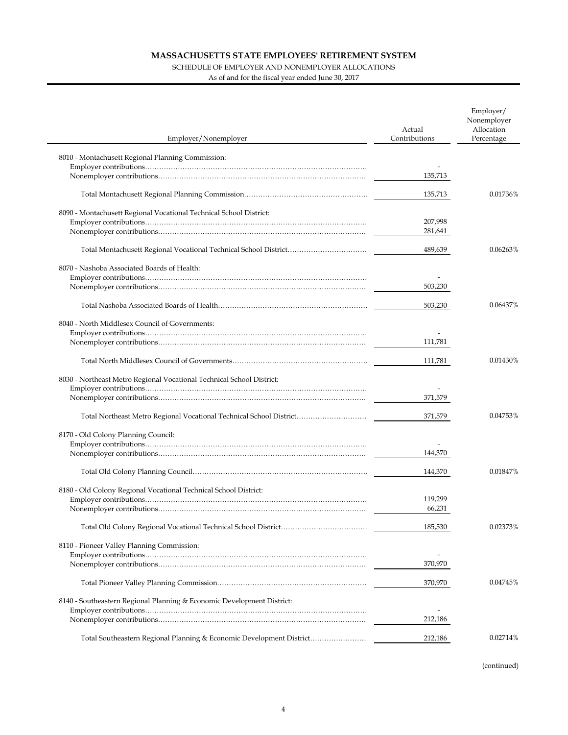### SCHEDULE OF EMPLOYER AND NONEMPLOYER ALLOCATIONS

As of and for the fiscal year ended June 30, 2017

 $\overline{a}$ 

| Employer/Nonemployer                                                   | Actual<br>Contributions | Employer/<br>Nonemployer<br>Allocation<br>Percentage |
|------------------------------------------------------------------------|-------------------------|------------------------------------------------------|
| 8010 - Montachusett Regional Planning Commission:                      |                         |                                                      |
|                                                                        |                         |                                                      |
|                                                                        | 135,713                 |                                                      |
|                                                                        | 135,713                 | 0.01736%                                             |
| 8090 - Montachusett Regional Vocational Technical School District:     |                         |                                                      |
|                                                                        | 207,998                 |                                                      |
|                                                                        | 281,641                 |                                                      |
|                                                                        |                         |                                                      |
|                                                                        | 489,639                 | 0.06263%                                             |
| 8070 - Nashoba Associated Boards of Health:                            |                         |                                                      |
|                                                                        |                         |                                                      |
|                                                                        | 503,230                 |                                                      |
|                                                                        |                         |                                                      |
|                                                                        | 503,230                 | 0.06437%                                             |
| 8040 - North Middlesex Council of Governments:                         |                         |                                                      |
|                                                                        |                         |                                                      |
|                                                                        | 111,781                 |                                                      |
|                                                                        |                         |                                                      |
|                                                                        | 111,781                 | 0.01430%                                             |
| 8030 - Northeast Metro Regional Vocational Technical School District:  |                         |                                                      |
|                                                                        |                         |                                                      |
|                                                                        | 371,579                 |                                                      |
|                                                                        |                         |                                                      |
|                                                                        | 371,579                 | 0.04753%                                             |
| 8170 - Old Colony Planning Council:                                    |                         |                                                      |
|                                                                        |                         |                                                      |
|                                                                        | 144,370                 |                                                      |
|                                                                        |                         |                                                      |
|                                                                        | 144,370                 | 0.01847%                                             |
|                                                                        |                         |                                                      |
| 8180 - Old Colony Regional Vocational Technical School District:       | 119,299                 |                                                      |
|                                                                        | 66,231                  |                                                      |
|                                                                        |                         |                                                      |
|                                                                        | 185,530                 | 0.02373%                                             |
|                                                                        |                         |                                                      |
| 8110 - Pioneer Valley Planning Commission:                             |                         |                                                      |
|                                                                        | 370,970                 |                                                      |
|                                                                        |                         |                                                      |
|                                                                        | 370,970                 | 0.04745%                                             |
| 8140 - Southeastern Regional Planning & Economic Development District: |                         |                                                      |
|                                                                        |                         |                                                      |
|                                                                        | 212,186                 |                                                      |
|                                                                        |                         |                                                      |
| Total Southeastern Regional Planning & Economic Development District   | 212,186                 | 0.02714%                                             |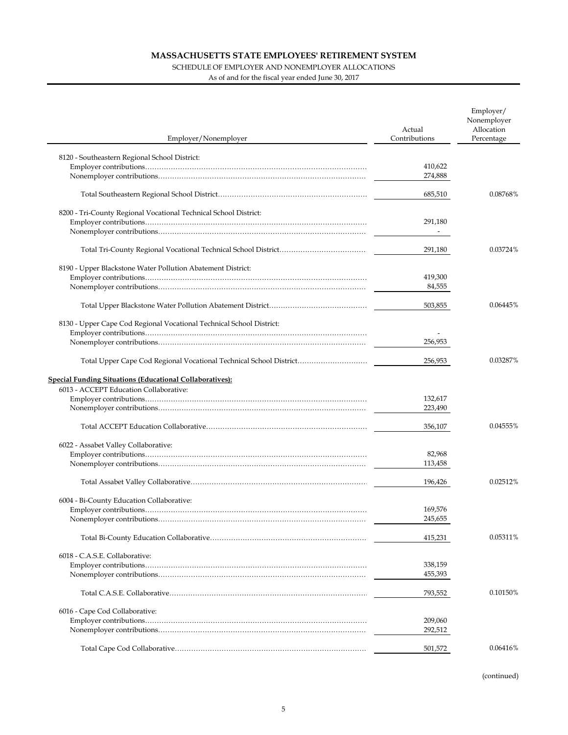### SCHEDULE OF EMPLOYER AND NONEMPLOYER ALLOCATIONS

As of and for the fiscal year ended June 30, 2017

| Employer/Nonemployer                                                 | Actual<br>Contributions | Employer/<br>Nonemployer<br>Allocation<br>Percentage |
|----------------------------------------------------------------------|-------------------------|------------------------------------------------------|
|                                                                      |                         |                                                      |
| 8120 - Southeastern Regional School District:                        | 410,622                 |                                                      |
|                                                                      | 274,888                 |                                                      |
|                                                                      |                         |                                                      |
|                                                                      | 685,510                 | 0.08768%                                             |
| 8200 - Tri-County Regional Vocational Technical School District:     |                         |                                                      |
|                                                                      | 291,180                 |                                                      |
|                                                                      |                         |                                                      |
|                                                                      |                         |                                                      |
|                                                                      | 291,180                 | 0.03724%                                             |
| 8190 - Upper Blackstone Water Pollution Abatement District:          |                         |                                                      |
|                                                                      | 419,300                 |                                                      |
|                                                                      | 84,555                  |                                                      |
|                                                                      |                         |                                                      |
|                                                                      | 503,855                 | 0.06445%                                             |
| 8130 - Upper Cape Cod Regional Vocational Technical School District: |                         |                                                      |
|                                                                      |                         |                                                      |
|                                                                      | 256,953                 |                                                      |
|                                                                      | 256,953                 | 0.03287%                                             |
| <b>Special Funding Situations (Educational Collaboratives):</b>      |                         |                                                      |
| 6013 - ACCEPT Education Collaborative:                               |                         |                                                      |
|                                                                      | 132,617                 |                                                      |
|                                                                      | 223,490                 |                                                      |
|                                                                      |                         |                                                      |
|                                                                      | 356,107                 | 0.04555%                                             |
| 6022 - Assabet Valley Collaborative:                                 |                         |                                                      |
|                                                                      | 82,968                  |                                                      |
|                                                                      | 113,458                 |                                                      |
|                                                                      |                         |                                                      |
|                                                                      | 196,426                 | 0.02512%                                             |
|                                                                      |                         |                                                      |
| 6004 - Bi-County Education Collaborative:                            |                         |                                                      |
|                                                                      | 169,576<br>245,655      |                                                      |
|                                                                      |                         |                                                      |
|                                                                      | 415,231                 | 0.05311%                                             |
| 6018 - C.A.S.E. Collaborative:                                       |                         |                                                      |
|                                                                      | 338,159                 |                                                      |
|                                                                      | 455,393                 |                                                      |
|                                                                      |                         |                                                      |
|                                                                      | 793,552                 | 0.10150%                                             |
| 6016 - Cape Cod Collaborative:                                       |                         |                                                      |
|                                                                      | 209,060                 |                                                      |
|                                                                      | 292,512                 |                                                      |
|                                                                      |                         |                                                      |
|                                                                      | 501,572                 | 0.06416%                                             |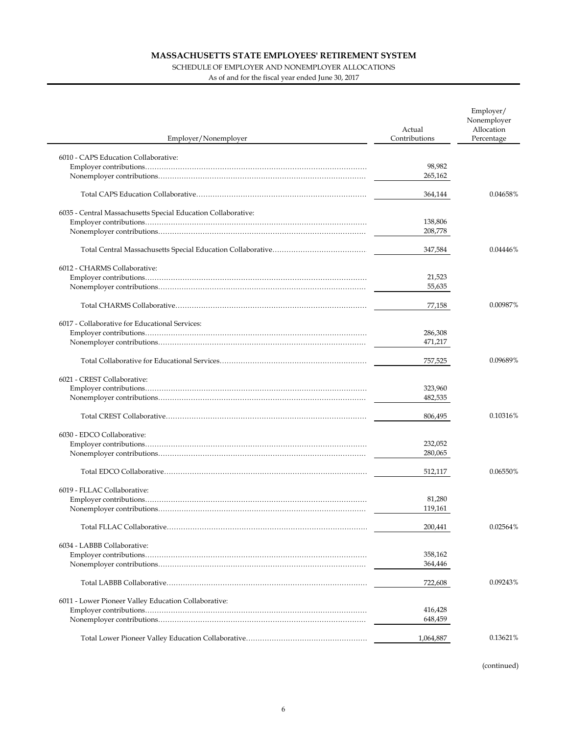### SCHEDULE OF EMPLOYER AND NONEMPLOYER ALLOCATIONS

As of and for the fiscal year ended June 30, 2017

| Employer/Nonemployer                                          | Actual<br>Contributions | Employer/<br>Nonemployer<br>Allocation<br>Percentage |
|---------------------------------------------------------------|-------------------------|------------------------------------------------------|
| 6010 - CAPS Education Collaborative:                          |                         |                                                      |
|                                                               | 98,982                  |                                                      |
|                                                               | 265,162                 |                                                      |
|                                                               | 364,144                 | 0.04658%                                             |
| 6035 - Central Massachusetts Special Education Collaborative: |                         |                                                      |
|                                                               | 138,806                 |                                                      |
|                                                               | 208,778                 |                                                      |
|                                                               | 347,584                 | 0.04446%                                             |
| 6012 - CHARMS Collaborative:                                  |                         |                                                      |
|                                                               | 21,523                  |                                                      |
|                                                               | 55,635                  |                                                      |
|                                                               | 77,158                  | 0.00987%                                             |
| 6017 - Collaborative for Educational Services:                |                         |                                                      |
|                                                               | 286,308                 |                                                      |
|                                                               | 471,217                 |                                                      |
|                                                               | 757,525                 | 0.09689%                                             |
| 6021 - CREST Collaborative:                                   |                         |                                                      |
|                                                               | 323,960                 |                                                      |
|                                                               | 482,535                 |                                                      |
|                                                               | 806,495                 | 0.10316%                                             |
| 6030 - EDCO Collaborative:                                    |                         |                                                      |
|                                                               | 232,052                 |                                                      |
|                                                               | 280,065                 |                                                      |
|                                                               | 512,117                 | 0.06550%                                             |
| 6019 - FLLAC Collaborative:                                   |                         |                                                      |
|                                                               | 81,280                  |                                                      |
|                                                               | 119,161                 |                                                      |
|                                                               | 200,441                 | 0.02564%                                             |
| 6034 - LABBB Collaborative:                                   |                         |                                                      |
|                                                               | 358,162                 |                                                      |
|                                                               | 364,446                 |                                                      |
|                                                               | 722,608                 | 0.09243%                                             |
| 6011 - Lower Pioneer Valley Education Collaborative:          |                         |                                                      |
|                                                               | 416,428                 |                                                      |
|                                                               | 648,459                 |                                                      |
|                                                               | 1,064,887               | 0.13621%                                             |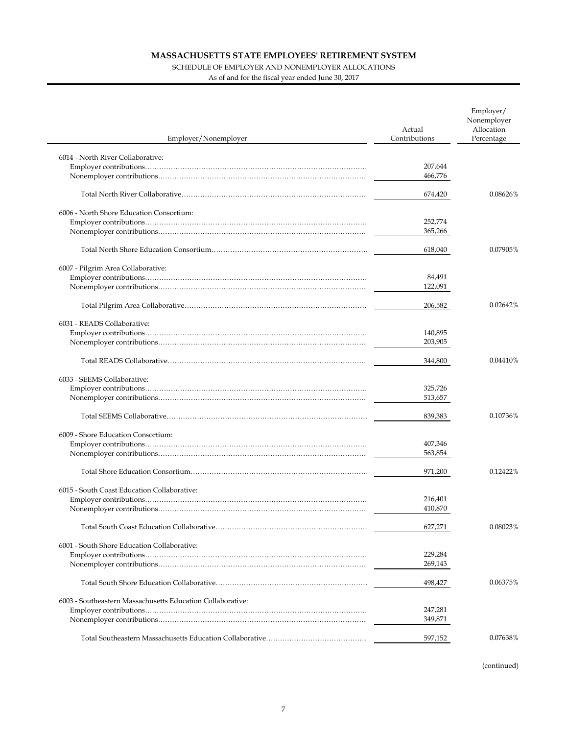### SCHEDULE OF EMPLOYER AND NONEMPLOYER ALLOCATIONS

As of and for the fiscal year ended June 30, 2017

| Employer/Nonemployer                                       | Actual<br>Contributions | Employer/<br>Nonemployer<br>Allocation<br>Percentage |
|------------------------------------------------------------|-------------------------|------------------------------------------------------|
| 6014 - North River Collaborative:                          |                         |                                                      |
|                                                            | 207,644                 |                                                      |
|                                                            | 466,776                 |                                                      |
|                                                            | 674,420                 | 0.08626%                                             |
| 6006 - North Shore Education Consortium:                   |                         |                                                      |
|                                                            | 252,774                 |                                                      |
|                                                            | 365,266                 |                                                      |
|                                                            | 618,040                 | 0.07905%                                             |
| 6007 - Pilgrim Area Collaborative:                         |                         |                                                      |
|                                                            | 84,491                  |                                                      |
|                                                            | 122,091                 |                                                      |
|                                                            | 206,582                 | 0.02642%                                             |
| 6031 - READS Collaborative:                                |                         |                                                      |
|                                                            | 140,895                 |                                                      |
|                                                            | 203,905                 |                                                      |
|                                                            |                         |                                                      |
|                                                            | 344,800                 | 0.04410%                                             |
| 6033 - SEEMS Collaborative:                                |                         |                                                      |
|                                                            | 325,726                 |                                                      |
|                                                            | 513,657                 |                                                      |
|                                                            | 839,383                 | 0.10736%                                             |
| 6009 - Shore Education Consortium:                         |                         |                                                      |
|                                                            | 407,346                 |                                                      |
|                                                            | 563,854                 |                                                      |
|                                                            | 971,200                 | 0.12422%                                             |
| 6015 - South Coast Education Collaborative:                |                         |                                                      |
|                                                            | 216,401                 |                                                      |
|                                                            | 410,870                 |                                                      |
|                                                            |                         |                                                      |
|                                                            | 627,271                 | 0.08023%                                             |
| 6001 - South Shore Education Collaborative:                |                         |                                                      |
|                                                            | 229,284                 |                                                      |
|                                                            | 269,143                 |                                                      |
|                                                            | 498,427                 | 0.06375%                                             |
| 6003 - Southeastern Massachusetts Education Collaborative: |                         |                                                      |
|                                                            | 247,281                 |                                                      |
|                                                            | 349,871                 |                                                      |
|                                                            | 597,152                 | 0.07638%                                             |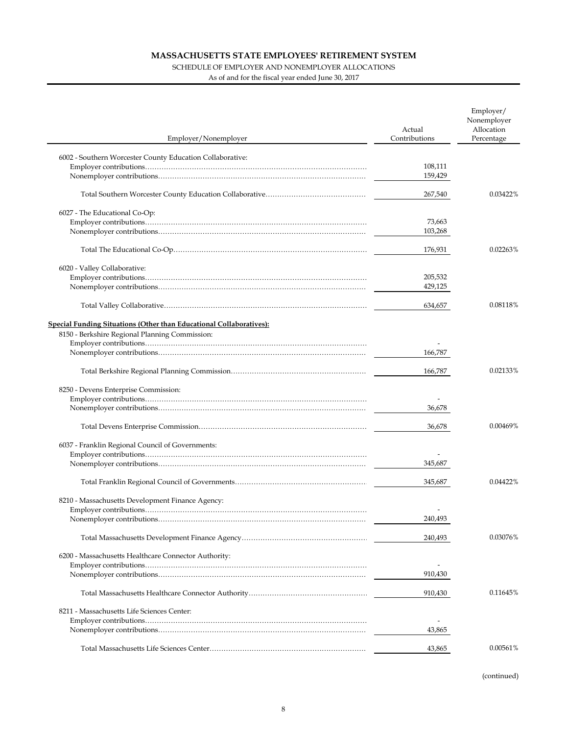## SCHEDULE OF EMPLOYER AND NONEMPLOYER ALLOCATIONS

As of and for the fiscal year ended June 30, 2017

| Employer/Nonemployer                                                | Actual<br>Contributions | Employer/<br>Nonemployer<br>Allocation<br>Percentage |
|---------------------------------------------------------------------|-------------------------|------------------------------------------------------|
| 6002 - Southern Worcester County Education Collaborative:           |                         |                                                      |
|                                                                     | 108,111                 |                                                      |
|                                                                     | 159,429                 |                                                      |
|                                                                     | 267,540                 | 0.03422%                                             |
| 6027 - The Educational Co-Op:                                       |                         |                                                      |
|                                                                     | 73,663                  |                                                      |
|                                                                     | 103,268                 |                                                      |
|                                                                     | 176,931                 | 0.02263%                                             |
| 6020 - Valley Collaborative:                                        |                         |                                                      |
|                                                                     | 205,532                 |                                                      |
|                                                                     | 429,125                 |                                                      |
|                                                                     | 634,657                 | 0.08118%                                             |
| Special Funding Situations (Other than Educational Collaboratives): |                         |                                                      |
| 8150 - Berkshire Regional Planning Commission:                      |                         |                                                      |
|                                                                     |                         |                                                      |
|                                                                     | 166,787                 |                                                      |
|                                                                     | 166,787                 | 0.02133%                                             |
| 8250 - Devens Enterprise Commission:                                |                         |                                                      |
|                                                                     |                         |                                                      |
|                                                                     | 36,678                  |                                                      |
|                                                                     | 36,678                  | 0.00469%                                             |
| 6037 - Franklin Regional Council of Governments:                    |                         |                                                      |
|                                                                     |                         |                                                      |
|                                                                     | 345,687                 |                                                      |
|                                                                     | 345,687                 | 0.04422%                                             |
| 8210 - Massachusetts Development Finance Agency:                    |                         |                                                      |
|                                                                     |                         |                                                      |
|                                                                     | 240,493                 |                                                      |
|                                                                     | 240,493                 | 0.03076%                                             |
| 6200 - Massachusetts Healthcare Connector Authority:                |                         |                                                      |
|                                                                     |                         |                                                      |
|                                                                     | 910,430                 |                                                      |
|                                                                     | 910,430                 | 0.11645%                                             |
| 8211 - Massachusetts Life Sciences Center:                          |                         |                                                      |
|                                                                     |                         |                                                      |
|                                                                     | 43,865                  |                                                      |
|                                                                     | 43,865                  | 0.00561%                                             |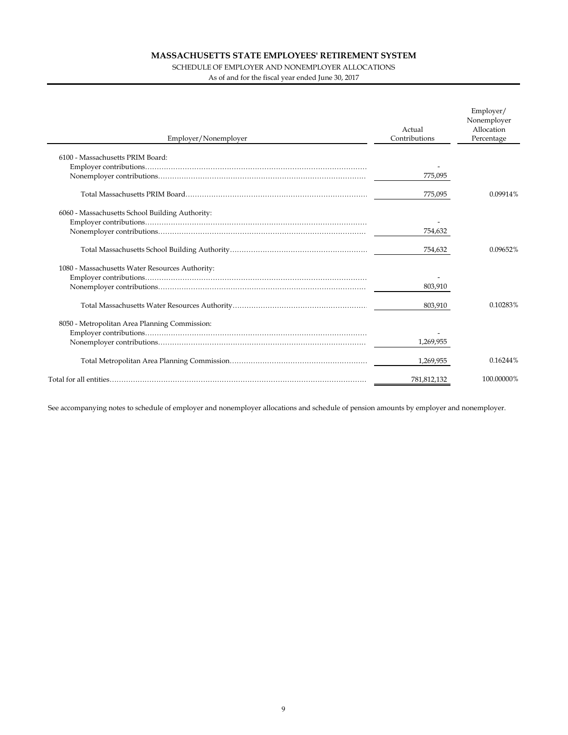### SCHEDULE OF EMPLOYER AND NONEMPLOYER ALLOCATIONS

As of and for the fiscal year ended June 30, 2017

| Actual<br>Contributions<br>Employer/Nonemployer | Employer/<br>Nonemployer<br>Allocation<br>Percentage |
|-------------------------------------------------|------------------------------------------------------|
| 6100 - Massachusetts PRIM Board:                |                                                      |
|                                                 |                                                      |
| 775,095                                         |                                                      |
|                                                 |                                                      |
| 775,095                                         | 0.09914%                                             |
| 6060 - Massachusetts School Building Authority: |                                                      |
|                                                 |                                                      |
| 754,632                                         |                                                      |
| 754,632                                         | 0.09652%                                             |
| 1080 - Massachusetts Water Resources Authority: |                                                      |
|                                                 |                                                      |
| 803,910                                         |                                                      |
| 803,910                                         | 0.10283%                                             |
| 8050 - Metropolitan Area Planning Commission:   |                                                      |
|                                                 |                                                      |
| 1,269,955                                       |                                                      |
|                                                 |                                                      |
| 1,269,955                                       | 0.16244%                                             |
| 781,812,132                                     | 100.00000%                                           |

See accompanying notes to schedule of employer and nonemployer allocations and schedule of pension amounts by employer and nonemployer.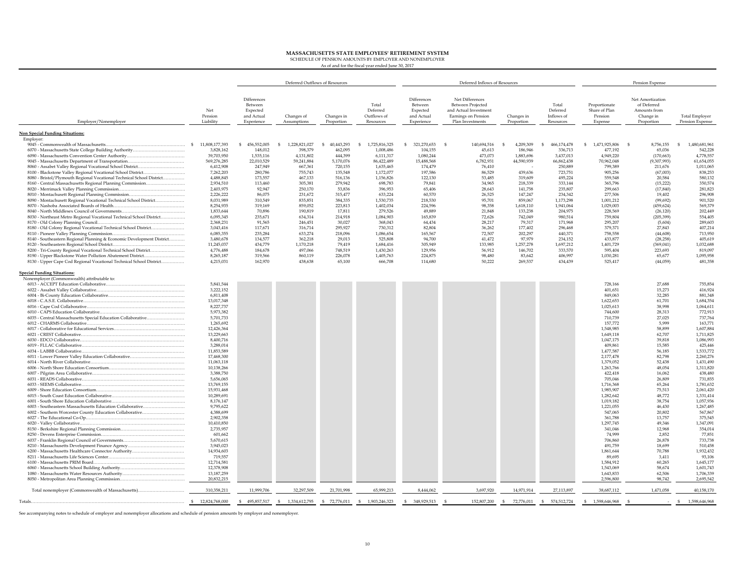**MASSACHUSETTS STATE EMPLOYEES' RETIREMENT SYSTEM** SCHEDULE OF PENSION AMOUNTS BY EMPLOYER AND NONEMPLOYER As of and for the fiscal year ended June 30, 2017

|                                                                       |                             | Deferred Outflows of Resources                                 |                           | Deferred Inflows of Resources |                                               |                                                                | Pension Expense                                                                                          |                          |                                              |                                                      |                                                                            |                                          |
|-----------------------------------------------------------------------|-----------------------------|----------------------------------------------------------------|---------------------------|-------------------------------|-----------------------------------------------|----------------------------------------------------------------|----------------------------------------------------------------------------------------------------------|--------------------------|----------------------------------------------|------------------------------------------------------|----------------------------------------------------------------------------|------------------------------------------|
| Employer/Nonemployer                                                  | Net<br>Pension<br>Liability | Differences<br>Between<br>Expected<br>and Actual<br>Experience | Changes of<br>Assumptions | Changes in<br>Proportion      | Total<br>Deferred<br>Outflows of<br>Resources | Differences<br>Between<br>Expected<br>and Actual<br>Experience | Net Differences<br>Between Projected<br>and Actual Investment<br>Earnings on Pension<br>Plan Investments | Changes in<br>Proportion | Total<br>Deferred<br>Inflows of<br>Resources | Proportionate<br>Share of Plan<br>Pension<br>Expense | Net Amortization<br>of Deferred<br>Amounts from<br>Change in<br>Proportion | <b>Total Employer</b><br>Pension Expense |
| <b>Non Special Funding Situations:</b>                                |                             |                                                                |                           |                               |                                               |                                                                |                                                                                                          |                          |                                              |                                                      |                                                                            |                                          |
| Employer:                                                             |                             |                                                                |                           |                               |                                               |                                                                |                                                                                                          |                          |                                              |                                                      |                                                                            |                                          |
|                                                                       | 11,808,177,393              | 456,552,005<br>-S                                              | 1,228,821,027<br>-S       | 40,443,293<br>\$.             | 1,725,816,325<br>$\mathcal{L}$                | 321,270,653<br>-S                                              | 140,694,516<br>- S                                                                                       | 4,209,309<br>-S          | 466,174,478<br>-S                            | 1,471,925,806<br>S.                                  | - \$<br>8,756,155                                                          | 1,480,681,96<br>-S                       |
| 6070 - Massachusetts State College Building Authority                 | 3,828,162                   | 148,012                                                        | 398,379                   | 462,095                       | 1,008,486                                     | 104,155                                                        | 45,613                                                                                                   | 186,946                  | 336,713                                      | 477,192                                              | 65,036                                                                     | 542,228                                  |
|                                                                       | 39,703,950                  | 1,535,116                                                      | 4,131,802                 | 444,399                       | 6,111,317                                     | 1,080,244                                                      | 473,073                                                                                                  | 1,883,696                | 3,437,013                                    | 4,949,220                                            | (170, 663)                                                                 | 4,778,55                                 |
|                                                                       | 569,276,285<br>6,412,908    | 22,010,529<br>247,949                                          | 59,241,884<br>667,361     | 5,170,076<br>720,155          | 86,422,489<br>1,635,465                       | 15,488,568<br>174,479                                          | 6,782,931<br>76,410                                                                                      | 44,590,939               | 66,862,438<br>250,889                        | 70,962,048<br>799,389                                | (9,307,993)<br>211,676                                                     | 61,654,055<br>1,011,065                  |
| 8100 - Blackstone Valley Regional Vocational School District          | 7,262,203                   | 280,786                                                        | 755,743                   | 135,548                       | 1,172,077                                     | 197,586                                                        | 86,529                                                                                                   | 439,636                  | 723,751                                      | 905,256                                              | (67,003)                                                                   | 838,253                                  |
| 8080 - Bristol/Plymouth Regional Vocational Technical School District | 4,488,845                   | 173,557                                                        | 467,133                   | 516,136                       | 1,156,826                                     | 122,130                                                        | 53,485                                                                                                   | 319,609                  | 495,224                                      | 559,548                                              | 20,584                                                                     | 580,132                                  |
| 8160 - Central Massachusetts Regional Planning Commission             | 2.934.510                   | 113,460                                                        | 305,381                   | 279,942                       | 698.783                                       | 79.841                                                         | 34.965                                                                                                   | 218,339                  | 333.144                                      | 365,796                                              | (15, 222)                                                                  | 350,574                                  |
|                                                                       | 2,403,975                   | 92,947                                                         | 250,170                   | 53,836                        | 396,953                                       | 65,406                                                         | 28,643                                                                                                   | 141,758                  | 235,807                                      | 299,663                                              | (17, 840)                                                                  | 281,823                                  |
|                                                                       | 2.226.222                   | 86,075                                                         | 231,672                   | 315,477                       | 633.224                                       | 60,570                                                         | 26,525                                                                                                   | 147,247                  | 234,342                                      | 277,506                                              | 19,402                                                                     | 296,908                                  |
| 8090 - Montachusett Regional Vocational Technical School District     | 8,031,989<br>8,254,935      | 310,549<br>319,169                                             | 835,851<br>859,052        | 384,335<br>223,813            | 1,530,735<br>1,402,034                        | 218,530<br>224,596                                             | 95,701<br>98,358                                                                                         | 859,067<br>1,618,110     | 1,173,298<br>1,941,064                       | 1,001,212<br>1,029,003                               | (99, 692)<br>(459, 624)                                                    | 901,520<br>569,379                       |
|                                                                       | 1,833,644                   | 70,896                                                         | 190,819                   | 17,811                        | 279,526                                       | 49.889                                                         | 21,848                                                                                                   | 133,238                  | 204,975                                      | 228,569                                              | (26, 120)                                                                  | 202,449                                  |
| 8030 - Northeast Metro Regional Vocational Technical School District  | 6,095,345                   | 235,671                                                        | 634,314                   | 214,918                       | 1,084,903                                     | 165,839                                                        | 72,626                                                                                                   | 742,049                  | 980,514                                      | 759,804                                              | (205, 399)                                                                 | 554,405                                  |
|                                                                       | 2.368.231                   | 91.565                                                         | 246.451                   | 30,027                        | 368.043                                       | 64.434                                                         | 28.217                                                                                                   | 79.317                   | 171.968                                      | 295,207                                              | (5.604)                                                                    | 289,603                                  |
| 8180 - Old Colony Regional Vocational Technical School District       | 3,043,416                   | 117,671                                                        | 316,714                   | 295,927                       | 730,312                                       | 82,804                                                         | 36,262                                                                                                   | 177,402                  | 296,468                                      | 379,371                                              | 27,843                                                                     | 407,214                                  |
|                                                                       | 6,085,355                   | 235,284                                                        | 633,274                   | 218,096                       | 1,086,654                                     | 165,567                                                        | 72,507                                                                                                   | 202,297                  | 440,371                                      | 758,558                                              | (44, 608)                                                                  | 713,950                                  |
| 8140 - Southeastern Regional Planning & Economic Development District | 3,480,678                   | 134,577                                                        | 362,218                   | 29,013                        | 525,808                                       | 94,700                                                         | 41,472                                                                                                   | 97,979                   | 234,152                                      | 433,877                                              | (28, 258)                                                                  | 405,619                                  |
| 8200 - Tri-County Regional Vocational Technical School District       | 11,245,037<br>4,776,488     | 434,779<br>184,678                                             | 1,170,218<br>497.066      | 79,419<br>748,519             | 1,684,416<br>1,430,263                        | 305,949<br>129,956                                             | 133,985<br>56,912                                                                                        | 1,257,278<br>146,702     | 1,697,212<br>333,570                         | 1,401,729<br>595,404                                 | (369, 041)<br>223,693                                                      | 1,032,688<br>819,097                     |
| 8190 - Upper Blackstone Water Pollution Abatement District            | 8,265,187                   | 319,566                                                        | 860,119                   | 226.078                       | 1,405,763                                     | 224,875                                                        | 98,480                                                                                                   | 83,642                   | 406,997                                      | 1,030,281                                            | 65,677                                                                     | 1,095,958                                |
| 8130 - Upper Cape Cod Regional Vocational Technical School District   | 4,215,031                   | 162,970                                                        | 438,638                   | 65,100                        | 666,708                                       | 114,680                                                        | 50,222                                                                                                   | 269,537                  | 434,439                                      | 525,417                                              | (44, 059)                                                                  | 481,358                                  |
|                                                                       |                             |                                                                |                           |                               |                                               |                                                                |                                                                                                          |                          |                                              |                                                      |                                                                            |                                          |
| <b>Special Funding Situations:</b>                                    |                             |                                                                |                           |                               |                                               |                                                                |                                                                                                          |                          |                                              |                                                      |                                                                            |                                          |
| Nonemployer (Commonwealth) attributable to:                           |                             |                                                                |                           |                               |                                               |                                                                |                                                                                                          |                          |                                              |                                                      |                                                                            |                                          |
|                                                                       | 5,841,544                   |                                                                |                           |                               |                                               |                                                                |                                                                                                          |                          |                                              | 728,166                                              | 27,688                                                                     | 755,854                                  |
|                                                                       | 3,222,152<br>6,811,408      |                                                                |                           |                               |                                               |                                                                |                                                                                                          |                          |                                              | 401,651<br>849,063                                   | 15,273<br>32,285                                                           | 416,924<br>881,348                       |
|                                                                       | 13,017,348                  |                                                                |                           |                               |                                               |                                                                |                                                                                                          |                          |                                              | 1,622,653                                            | 61,701                                                                     | 1,684,354                                |
|                                                                       | 8,227,737                   |                                                                |                           |                               |                                               |                                                                |                                                                                                          |                          |                                              | 1,025,613                                            | 38,998                                                                     | 1,064,611                                |
|                                                                       | 5,973,382                   |                                                                |                           |                               |                                               |                                                                |                                                                                                          |                          |                                              | 744,600                                              | 28.313                                                                     | 772,913                                  |
| 6035 - Central Massachusetts Special Education Collaborative          | 5.701.733                   |                                                                |                           |                               |                                               |                                                                |                                                                                                          |                          |                                              | 710.739                                              | 27,025                                                                     | 737.764                                  |
|                                                                       | 1,265,692                   |                                                                |                           |                               |                                               |                                                                |                                                                                                          |                          |                                              | 157,772                                              | 5,999                                                                      | 163,771                                  |
|                                                                       | 12,426,364                  |                                                                |                           |                               |                                               |                                                                |                                                                                                          |                          |                                              | 1,548,985                                            | 58,899                                                                     | 1,607,884                                |
|                                                                       | 13,229,663<br>8,400.716     |                                                                |                           |                               |                                               |                                                                |                                                                                                          |                          |                                              | 1,649,118<br>1,047,175                               | 62,707<br>39,818                                                           | 1,711,825<br>1,086,993                   |
|                                                                       | 3.288.014                   |                                                                |                           |                               |                                               |                                                                |                                                                                                          |                          |                                              | 409,861                                              | 15,585                                                                     | 425,446                                  |
|                                                                       | 11.853.589                  |                                                                |                           |                               |                                               |                                                                |                                                                                                          |                          |                                              | 1,477,587                                            | 56,185                                                                     | 1,533,772                                |
|                                                                       | 17,468,300                  |                                                                |                           |                               |                                               |                                                                |                                                                                                          |                          |                                              | 2,177,478                                            | 82,798                                                                     | 2,260,276                                |
|                                                                       | 11.063.118                  |                                                                |                           |                               |                                               |                                                                |                                                                                                          |                          |                                              | 1,379,052                                            | 52,438                                                                     | 1,431,490                                |
|                                                                       | 10,138,266                  |                                                                |                           |                               |                                               |                                                                |                                                                                                          |                          |                                              | 1,263,766                                            | 48,054                                                                     | 1,311,820                                |
|                                                                       | 3,388,750<br>5,656,065      |                                                                |                           |                               |                                               |                                                                |                                                                                                          |                          |                                              | 422,418<br>705,046                                   | 16,062<br>26,809                                                           | 438,480<br>731,855                       |
|                                                                       | 13,769,155                  |                                                                |                           |                               |                                               |                                                                |                                                                                                          |                          |                                              | 1,716,368                                            | 65,264                                                                     | 1,781,632                                |
| 6009 - Shore Education Consortium                                     | 15.931.468                  |                                                                |                           |                               |                                               |                                                                |                                                                                                          |                          |                                              | 1.985.907                                            | 75,513                                                                     | 2,061,420                                |
|                                                                       | 10,289,691                  |                                                                |                           |                               |                                               |                                                                |                                                                                                          |                          |                                              | 1,282,642                                            | 48,772                                                                     | 1,331,414                                |
|                                                                       | 8,176,147                   |                                                                |                           |                               |                                               |                                                                |                                                                                                          |                          |                                              | 1,019,182                                            | 38,754                                                                     | 1,057,936                                |
| 6003 - Southeastern Massachusetts Education Collaborative             | 9,795,622                   |                                                                |                           |                               |                                               |                                                                |                                                                                                          |                          |                                              | 1,221,055                                            | 46,430                                                                     | 1,267,485                                |
| 6002 - Southern Worcester County Education Collaborative              | 4,388,699                   |                                                                |                           |                               |                                               |                                                                |                                                                                                          |                          |                                              | 547,065                                              | 20,802                                                                     | 567,867                                  |
|                                                                       | 2,902,358<br>10,410,850     |                                                                |                           |                               |                                               |                                                                |                                                                                                          |                          |                                              | 361,788<br>1,297,745                                 | 13,757<br>49,346                                                           | 375,545<br>1,347,091                     |
|                                                                       | 2.735.957                   |                                                                |                           |                               |                                               |                                                                |                                                                                                          |                          |                                              | 341.046                                              | 12,968                                                                     | 354,014                                  |
|                                                                       | 601,662                     |                                                                |                           |                               |                                               |                                                                |                                                                                                          |                          |                                              | 74,999                                               | 2,852                                                                      | 77,851                                   |
|                                                                       | 5.670.615                   |                                                                |                           |                               |                                               |                                                                |                                                                                                          |                          |                                              | 706.860                                              | 26,878                                                                     | 733,738                                  |
|                                                                       | 3,945,023                   |                                                                |                           |                               |                                               |                                                                |                                                                                                          |                          |                                              | 491,759                                              | 18,699                                                                     | 510,458                                  |
|                                                                       | 14,934,603                  |                                                                |                           |                               |                                               |                                                                |                                                                                                          |                          |                                              | 1,861,644                                            | 70,788                                                                     | 1,932,432                                |
|                                                                       | 719,557<br>12,714,581       |                                                                |                           |                               |                                               |                                                                |                                                                                                          |                          |                                              | 89,695<br>1,584,912                                  | 3,411<br>60,265                                                            | 93,106<br>1,645,177                      |
|                                                                       | 12,378,908                  |                                                                |                           |                               |                                               |                                                                |                                                                                                          |                          |                                              | 1,543,069                                            | 58.674                                                                     | 1,601,743                                |
|                                                                       | 13,187,259                  |                                                                |                           |                               |                                               |                                                                |                                                                                                          |                          |                                              | 1,643,833                                            | 62,506                                                                     | 1,706,339                                |
|                                                                       | 20,832,215                  |                                                                |                           |                               |                                               |                                                                |                                                                                                          |                          |                                              | 2,596,800                                            | 98,742                                                                     | 2,695,542                                |
| Total nonemployer (Commonwealth of Massachusetts)                     | 310,358,211                 | 11,999,706                                                     | 32,297,509                | 21,701,998                    | 65,999,213                                    | 8,444,062                                                      | 3,697,920                                                                                                | 14,971,914               | 27,113,897                                   | 38,687,112                                           | 1,471,058                                                                  | 40,158,170                               |
| Totals                                                                | \$12,824,768,000            | \$495,857,517                                                  | \$ 1,334,612,795          | \$ 72,776,011                 | \$1,903,246,323                               | 348,929,513<br>S.                                              | 152,807,200                                                                                              | 72,776,011<br>-S -       | \$ 574,512,724                               | 1,598,646,968<br>S.                                  | - S                                                                        | 1,598,646,968<br>-S                      |
|                                                                       |                             |                                                                |                           |                               |                                               |                                                                |                                                                                                          |                          |                                              |                                                      |                                                                            |                                          |

See accompanying notes to schedule of employer and nonemployer allocations and schedule of pension amounts by employer and nonemployer.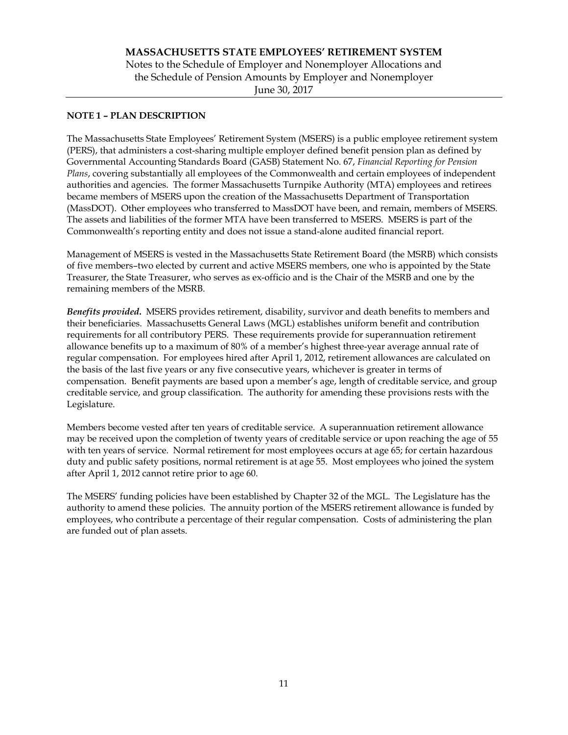## **NOTE 1 – PLAN DESCRIPTION**

The Massachusetts State Employees' Retirement System (MSERS) is a public employee retirement system (PERS), that administers a cost-sharing multiple employer defined benefit pension plan as defined by Governmental Accounting Standards Board (GASB) Statement No. 67, *Financial Reporting for Pension Plans*, covering substantially all employees of the Commonwealth and certain employees of independent authorities and agencies. The former Massachusetts Turnpike Authority (MTA) employees and retirees became members of MSERS upon the creation of the Massachusetts Department of Transportation (MassDOT). Other employees who transferred to MassDOT have been, and remain, members of MSERS. The assets and liabilities of the former MTA have been transferred to MSERS. MSERS is part of the Commonwealth's reporting entity and does not issue a stand-alone audited financial report.

Management of MSERS is vested in the Massachusetts State Retirement Board (the MSRB) which consists of five members–two elected by current and active MSERS members, one who is appointed by the State Treasurer, the State Treasurer, who serves as ex-officio and is the Chair of the MSRB and one by the remaining members of the MSRB.

*Benefits provided***.** MSERS provides retirement, disability, survivor and death benefits to members and their beneficiaries. Massachusetts General Laws (MGL) establishes uniform benefit and contribution requirements for all contributory PERS. These requirements provide for superannuation retirement allowance benefits up to a maximum of 80% of a member's highest three-year average annual rate of regular compensation. For employees hired after April 1, 2012, retirement allowances are calculated on the basis of the last five years or any five consecutive years, whichever is greater in terms of compensation. Benefit payments are based upon a member's age, length of creditable service, and group creditable service, and group classification. The authority for amending these provisions rests with the Legislature.

Members become vested after ten years of creditable service. A superannuation retirement allowance may be received upon the completion of twenty years of creditable service or upon reaching the age of 55 with ten years of service. Normal retirement for most employees occurs at age 65; for certain hazardous duty and public safety positions, normal retirement is at age 55. Most employees who joined the system after April 1, 2012 cannot retire prior to age 60.

The MSERS' funding policies have been established by Chapter 32 of the MGL. The Legislature has the authority to amend these policies. The annuity portion of the MSERS retirement allowance is funded by employees, who contribute a percentage of their regular compensation. Costs of administering the plan are funded out of plan assets.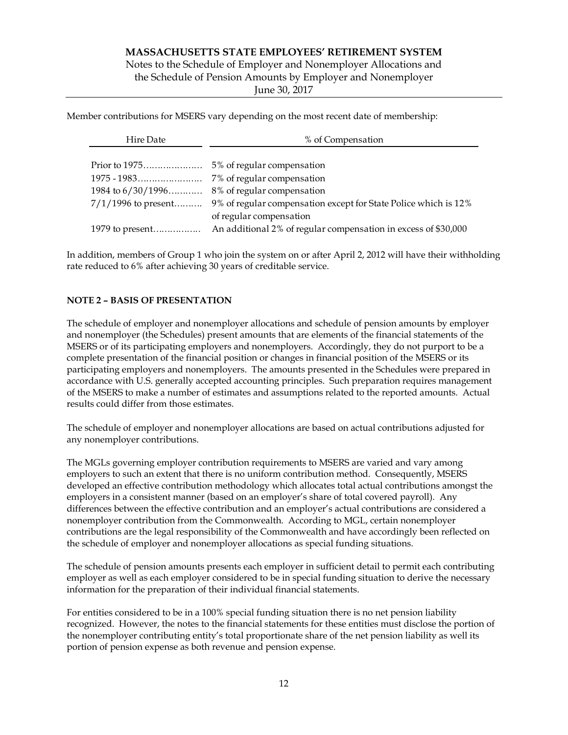Notes to the Schedule of Employer and Nonemployer Allocations and the Schedule of Pension Amounts by Employer and Nonemployer

June 30, 2017

Member contributions for MSERS vary depending on the most recent date of membership:

| Hire Date             | % of Compensation                                               |  |  |  |
|-----------------------|-----------------------------------------------------------------|--|--|--|
|                       |                                                                 |  |  |  |
|                       |                                                                 |  |  |  |
|                       | 7% of regular compensation                                      |  |  |  |
| 1984 to $6/30/1996$   | 8% of regular compensation                                      |  |  |  |
| $7/1/1996$ to present | 9% of regular compensation except for State Police which is 12% |  |  |  |
|                       | of regular compensation                                         |  |  |  |
|                       | An additional 2% of regular compensation in excess of \$30,000  |  |  |  |

In addition, members of Group 1 who join the system on or after April 2, 2012 will have their withholding rate reduced to 6% after achieving 30 years of creditable service.

## **NOTE 2 – BASIS OF PRESENTATION**

The schedule of employer and nonemployer allocations and schedule of pension amounts by employer and nonemployer (the Schedules) present amounts that are elements of the financial statements of the MSERS or of its participating employers and nonemployers. Accordingly, they do not purport to be a complete presentation of the financial position or changes in financial position of the MSERS or its participating employers and nonemployers. The amounts presented in the Schedules were prepared in accordance with U.S. generally accepted accounting principles. Such preparation requires management of the MSERS to make a number of estimates and assumptions related to the reported amounts. Actual results could differ from those estimates.

The schedule of employer and nonemployer allocations are based on actual contributions adjusted for any nonemployer contributions.

The MGLs governing employer contribution requirements to MSERS are varied and vary among employers to such an extent that there is no uniform contribution method. Consequently, MSERS developed an effective contribution methodology which allocates total actual contributions amongst the employers in a consistent manner (based on an employer's share of total covered payroll). Any differences between the effective contribution and an employer's actual contributions are considered a nonemployer contribution from the Commonwealth. According to MGL, certain nonemployer contributions are the legal responsibility of the Commonwealth and have accordingly been reflected on the schedule of employer and nonemployer allocations as special funding situations.

The schedule of pension amounts presents each employer in sufficient detail to permit each contributing employer as well as each employer considered to be in special funding situation to derive the necessary information for the preparation of their individual financial statements.

For entities considered to be in a 100% special funding situation there is no net pension liability recognized. However, the notes to the financial statements for these entities must disclose the portion of the nonemployer contributing entity's total proportionate share of the net pension liability as well its portion of pension expense as both revenue and pension expense.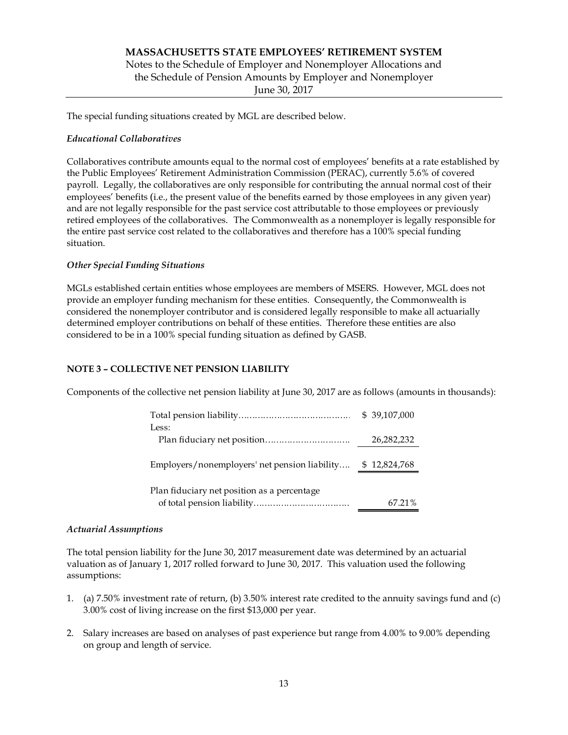# **MASSACHUSETTS STATE EMPLOYEES' RETIREMENT SYSTEM**  Notes to the Schedule of Employer and Nonemployer Allocations and the Schedule of Pension Amounts by Employer and Nonemployer June 30, 2017

The special funding situations created by MGL are described below.

## *Educational Collaboratives*

Collaboratives contribute amounts equal to the normal cost of employees' benefits at a rate established by the Public Employees' Retirement Administration Commission (PERAC), currently 5.6% of covered payroll. Legally, the collaboratives are only responsible for contributing the annual normal cost of their employees' benefits (i.e., the present value of the benefits earned by those employees in any given year) and are not legally responsible for the past service cost attributable to those employees or previously retired employees of the collaboratives. The Commonwealth as a nonemployer is legally responsible for the entire past service cost related to the collaboratives and therefore has a 100% special funding situation.

## *Other Special Funding Situations*

MGLs established certain entities whose employees are members of MSERS. However, MGL does not provide an employer funding mechanism for these entities. Consequently, the Commonwealth is considered the nonemployer contributor and is considered legally responsible to make all actuarially determined employer contributions on behalf of these entities. Therefore these entities are also considered to be in a 100% special funding situation as defined by GASB.

## **NOTE 3 – COLLECTIVE NET PENSION LIABILITY**

Components of the collective net pension liability at June 30, 2017 are as follows (amounts in thousands):

| Less:                                         | \$ 39,107,000 |
|-----------------------------------------------|---------------|
|                                               | 26,282,232    |
| Employers/nonemployers' net pension liability | \$12,824,768  |
| Plan fiduciary net position as a percentage   | 67.21%        |

## *Actuarial Assumptions*

The total pension liability for the June 30, 2017 measurement date was determined by an actuarial valuation as of January 1, 2017 rolled forward to June 30, 2017. This valuation used the following assumptions:

- 1. (a) 7.50% investment rate of return, (b) 3.50% interest rate credited to the annuity savings fund and (c) 3.00% cost of living increase on the first \$13,000 per year.
- 2. Salary increases are based on analyses of past experience but range from 4.00% to 9.00% depending on group and length of service.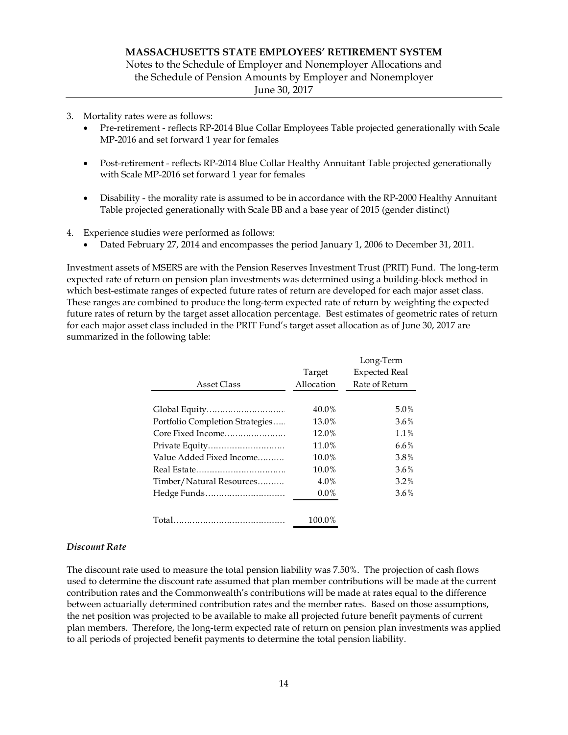Notes to the Schedule of Employer and Nonemployer Allocations and the Schedule of Pension Amounts by Employer and Nonemployer

June 30, 2017

- 3. Mortality rates were as follows:
	- Pre-retirement reflects RP-2014 Blue Collar Employees Table projected generationally with Scale MP-2016 and set forward 1 year for females
	- Post-retirement reflects RP-2014 Blue Collar Healthy Annuitant Table projected generationally with Scale MP-2016 set forward 1 year for females
	- Disability the morality rate is assumed to be in accordance with the RP-2000 Healthy Annuitant Table projected generationally with Scale BB and a base year of 2015 (gender distinct)
- 4. Experience studies were performed as follows:
	- Dated February 27, 2014 and encompasses the period January 1, 2006 to December 31, 2011.

Investment assets of MSERS are with the Pension Reserves Investment Trust (PRIT) Fund. The long-term expected rate of return on pension plan investments was determined using a building-block method in which best-estimate ranges of expected future rates of return are developed for each major asset class. These ranges are combined to produce the long-term expected rate of return by weighting the expected future rates of return by the target asset allocation percentage. Best estimates of geometric rates of return for each major asset class included in the PRIT Fund's target asset allocation as of June 30, 2017 are summarized in the following table:

|                                 |            | Long-Term            |
|---------------------------------|------------|----------------------|
|                                 | Target     | <b>Expected Real</b> |
| Asset Class                     | Allocation | Rate of Return       |
|                                 |            |                      |
|                                 | 40.0%      | 5.0%                 |
| Portfolio Completion Strategies | 13.0%      | 3.6%                 |
| Core Fixed Income               | 12.0%      | 1.1%                 |
| Private Equity                  | 11.0%      | $6.6\%$              |
| Value Added Fixed Income        | $10.0\%$   | 3.8%                 |
|                                 | 10.0%      | 3.6%                 |
| Timber/Natural Resources        | $4.0\%$    | $3.2\%$              |
| Hedge Funds                     | $0.0\%$    | $3.6\%$              |
|                                 |            |                      |
|                                 | 100.0%     |                      |

## *Discount Rate*

The discount rate used to measure the total pension liability was 7.50%. The projection of cash flows used to determine the discount rate assumed that plan member contributions will be made at the current contribution rates and the Commonwealth's contributions will be made at rates equal to the difference between actuarially determined contribution rates and the member rates. Based on those assumptions, the net position was projected to be available to make all projected future benefit payments of current plan members. Therefore, the long-term expected rate of return on pension plan investments was applied to all periods of projected benefit payments to determine the total pension liability.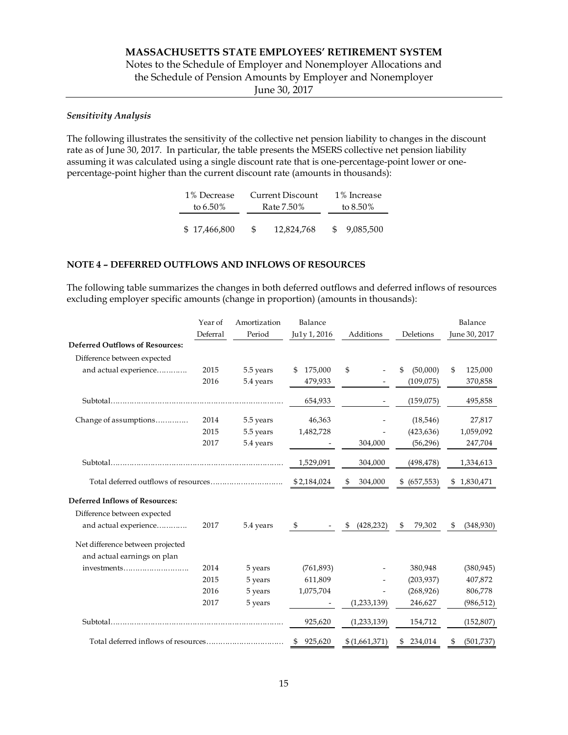# Notes to the Schedule of Employer and Nonemployer Allocations and the Schedule of Pension Amounts by Employer and Nonemployer

June 30, 2017

### *Sensitivity Analysis*

The following illustrates the sensitivity of the collective net pension liability to changes in the discount rate as of June 30, 2017. In particular, the table presents the MSERS collective net pension liability assuming it was calculated using a single discount rate that is one-percentage-point lower or onepercentage-point higher than the current discount rate (amounts in thousands):

| 1% Decrease  | Current Discount |            |     | 1% Increase |  |             |
|--------------|------------------|------------|-----|-------------|--|-------------|
| to 6.50%     | Rate 7.50%       |            |     |             |  | to $8.50\%$ |
|              |                  |            |     |             |  |             |
| \$17,466,800 | \$.              | 12.824.768 | SS. | 9,085,500   |  |             |

### **NOTE 4 – DEFERRED OUTFLOWS AND INFLOWS OF RESOURCES**

The following table summarizes the changes in both deferred outflows and deferred inflows of resources excluding employer specific amounts (change in proportion) (amounts in thousands):

|                                            | Year of  | Amortization  | Balance       |                  |                  | Balance         |
|--------------------------------------------|----------|---------------|---------------|------------------|------------------|-----------------|
|                                            | Deferral | Period        | Ju1y 1, 2016  | Additions        | Deletions        | June 30, 2017   |
| <b>Deferred Outflows of Resources:</b>     |          |               |               |                  |                  |                 |
| Difference between expected                |          |               |               |                  |                  |                 |
| and actual experience                      | 2015     | 5.5 years     | 175,000<br>\$ | \$               | \$<br>(50,000)   | 125,000<br>\$   |
|                                            | 2016     | 5.4 years     | 479,933       |                  | (109,075)        | 370,858         |
|                                            |          |               | 654,933       |                  | (159,075)        | 495,858         |
| Change of assumptions                      | 2014     | 5.5 years     | 46,363        |                  | (18,546)         | 27,817          |
|                                            | 2015     | 5.5 years     | 1,482,728     |                  | (423, 636)       | 1,059,092       |
|                                            | 2017     | 5.4 years     |               | 304,000          | (56, 296)        | 247,704         |
|                                            |          |               | 1,529,091     | 304,000          | (498, 478)       | 1,334,613       |
|                                            |          |               | \$2,184,024   | 304,000<br>\$    | (657, 553)<br>\$ | \$1,830,471     |
| <b>Deferred Inflows of Resources:</b>      |          |               |               |                  |                  |                 |
| Difference between expected                |          |               |               |                  |                  |                 |
| and actual experience                      | 2017     | 5.4 years     | \$            | (428, 232)<br>\$ | 79,302<br>\$     | \$<br>(348,930) |
| Net difference between projected           |          |               |               |                  |                  |                 |
| and actual earnings on plan<br>investments | 2014     | 5 years       | (761, 893)    |                  | 380,948          | (380, 945)      |
|                                            | 2015     | 5 years       | 611,809       |                  | (203, 937)       | 407,872         |
|                                            | 2016     | 5 years       | 1,075,704     |                  | (268, 926)       | 806,778         |
|                                            | 2017     | 5 years       |               | (1,233,139)      | 246,627          | (986, 512)      |
|                                            |          |               | 925,620       | (1,233,139)      | 154,712          | (152, 807)      |
|                                            |          |               |               |                  |                  |                 |
|                                            |          | 925,620<br>\$ | \$(1,661,371) | 234,014<br>\$    | (501, 737)<br>\$ |                 |